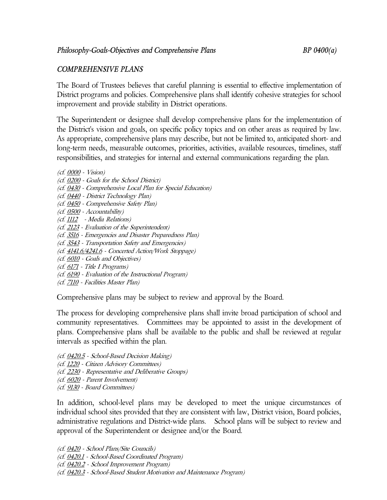## *COMPREHENSIVE PLANS*

The Board of Trustees believes that careful planning is essential to effective implementation of District programs and policies. Comprehensive plans shall identify cohesive strategies for school improvement and provide stability in District operations.

The Superintendent or designee shall develop comprehensive plans for the implementation of the District's vision and goals, on specific policy topics and on other areas as required by law. As appropriate, comprehensive plans may describe, but not be limited to, anticipated short- and long-term needs, measurable outcomes, priorities, activities, available resources, timelines, staff responsibilities, and strategies for internal and external communications regarding the plan.

- (cf. 0000 Vision)
- (cf. 0200 Goals for the School District)
- (cf. 0430 Comprehensive Local Plan for Special Education)
- (cf. 0440 District Technology Plan)
- (cf. 0450 Comprehensive Safety Plan)
- (cf. 0500 Accountability)
- (cf. 1112 Media Relations)
- (cf. 2123 Evaluation of the Superintendent)
- (cf. 3516 Emergencies and Disaster Preparedness Plan)
- (cf. 3543 Transportation Safety and Emergencies)
- (cf. 4141.6/4241.6 Concerted Action/Work Stoppage)
- (cf. 6010 Goals and Objectives)
- (cf. 6171 Title I Programs)
- (cf. 6190 Evaluation of the Instructional Program)
- (cf. 7110 Facilities Master Plan)

Comprehensive plans may be subject to review and approval by the Board.

The process for developing comprehensive plans shall invite broad participation of school and community representatives. Committees may be appointed to assist in the development of plans. Comprehensive plans shall be available to the public and shall be reviewed at regular intervals as specified within the plan.

- (cf. 0420.5 School-Based Decision Making)
- (cf. 1220 Citizen Advisory Committees)
- (cf. 2230 Representative and Deliberative Groups)
- (cf. 6020 Parent Involvement)
- (cf. 9130 Board Committees)

In addition, school-level plans may be developed to meet the unique circumstances of individual school sites provided that they are consistent with law, District vision, Board policies, administrative regulations and District-wide plans. School plans will be subject to review and approval of the Superintendent or designee and/or the Board.

(cf. 0420 - School Plans/Site Councils)

- (cf. 0420.1 School-Based Coordinated Program)
- (cf. 0420.2 School Improvement Program)
- (cf. 0420.3 School-Based Student Motivation and Maintenance Program)